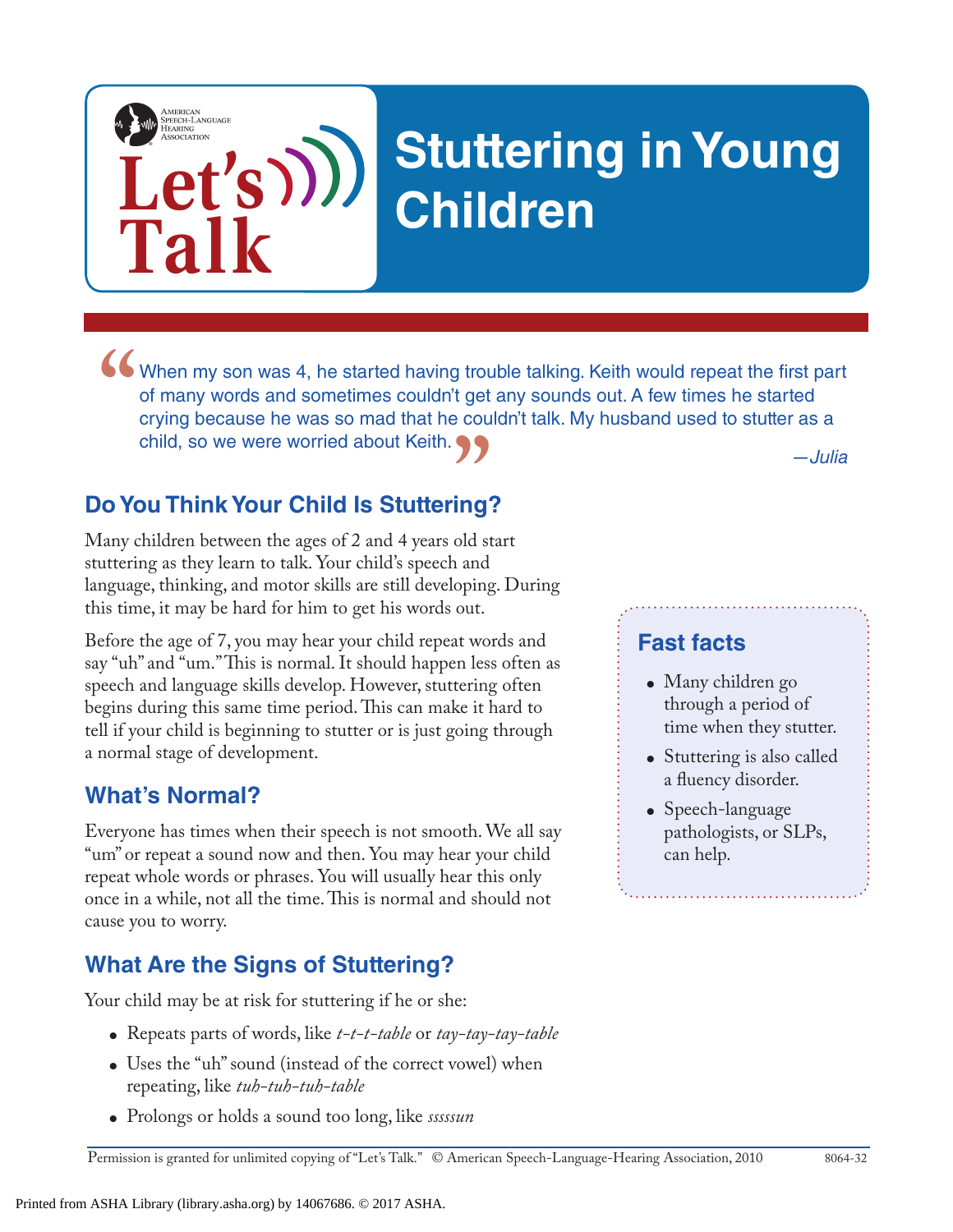

# **Stuttering in Young Children**

*—Julia* When my son was 4, he started having trouble talking. Keith would repeat the first part of many words and sometimes couldn't get any sounds out. A few times he started crying because he was so mad that he couldn't talk. My of many words and sometimes couldn't get any sounds out. A few times he started crying because he was so mad that he couldn't talk. My husband used to stutter as a child, so we were worried about Keith.

## **Do You Think Your Child Is Stuttering? "**<br>**ing**<br>old st

Many children between the ages of 2 and 4 years old start stuttering as they learn to talk. Your child's speech and language, thinking, and motor skills are still developing. During this time, it may be hard for him to get his words out.

Before the age of 7, you may hear your child repeat words and say "uh" and "um." This is normal. It should happen less often as speech and language skills develop. However, stuttering often begins during this same time period. This can make it hard to tell if your child is beginning to stutter or is just going through a normal stage of development.

#### **What's Normal?**

Everyone has times when their speech is not smooth. We all say "um" or repeat a sound now and then. You may hear your child repeat whole words or phrases. You will usually hear this only once in a while, not all the time. This is normal and should not cause you to worry.

#### **What Are the Signs of Stuttering?**

Your child may be at risk for stuttering if he or she:

- Repeats parts of words, like *t-t-t-table* or *tay-tay-tay-table*
- Uses the "uh" sound (instead of the correct vowel) when repeating, like *tuh-tuh-tuh-table*
- Prolongs or holds a sound too long, like *sssssun*

#### **Fast facts**

- Many children go through a period of time when they stutter.
- Stuttering is also called a fluency disorder.
- Speech-language pathologists, or SLPs, can help.

Permission is granted for unlimited copying of "Let's Talk." © American Speech-Language-Hearing Association, 2010 8064-32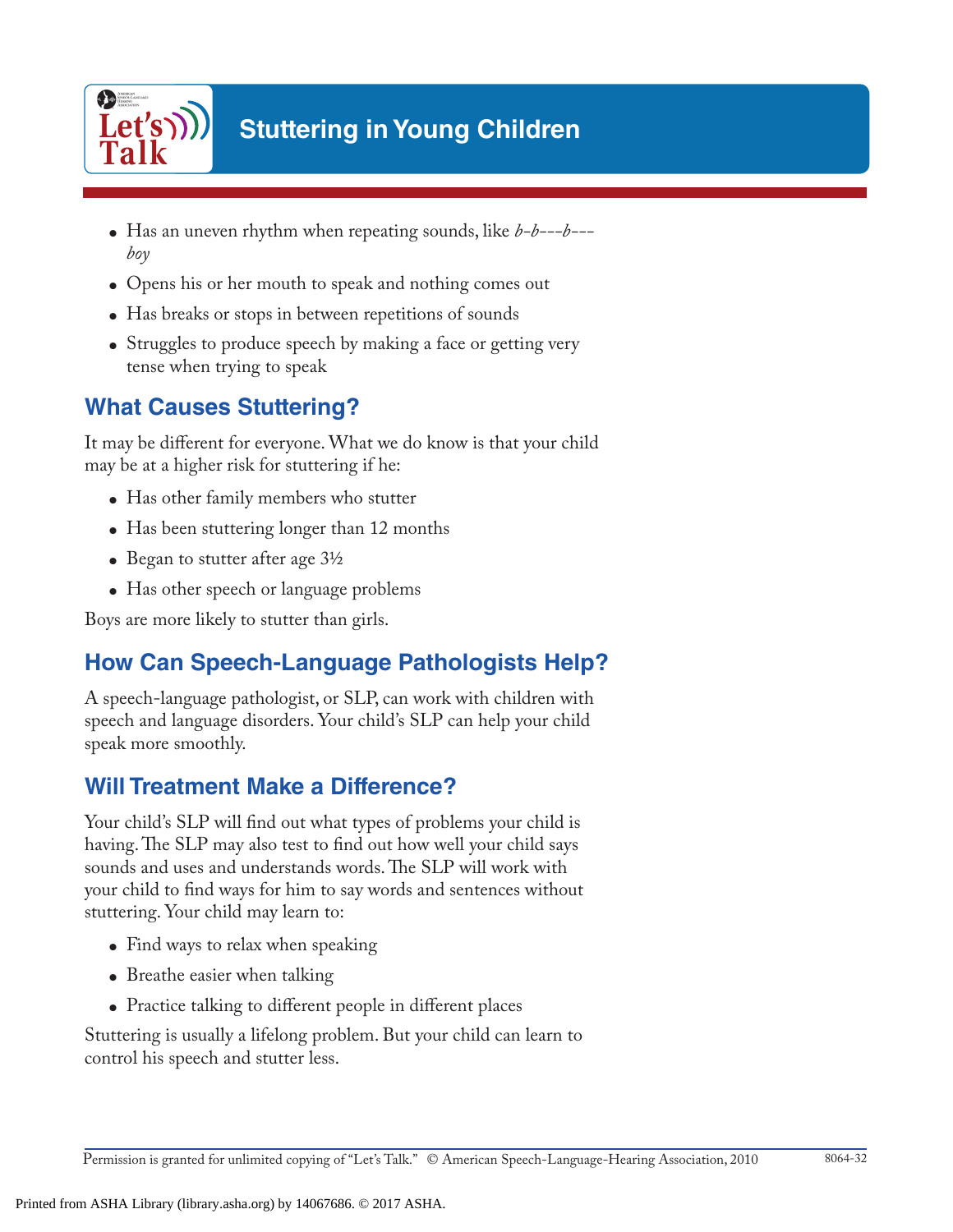

### **Stuttering in Young Children**

- Has an uneven rhythm when repeating sounds, like *b-b---b-- boy*
- Opens his or her mouth to speak and nothing comes out
- Has breaks or stops in between repetitions of sounds
- Struggles to produce speech by making a face or getting very tense when trying to speak

#### **What Causes Stuttering?**

It may be different for everyone. What we do know is that your child may be at a higher risk for stuttering if he:

- Has other family members who stutter
- Has been stuttering longer than 12 months
- Began to stutter after age  $3\frac{1}{2}$
- Has other speech or language problems

Boys are more likely to stutter than girls.

#### **How Can Speech-Language Pathologists Help?**

A speech-language pathologist, or SLP, can work with children with speech and language disorders. Your child's SLP can help your child speak more smoothly.

#### **Will Treatment Make a Difference?**

Your child's SLP will find out what types of problems your child is having. The SLP may also test to find out how well your child says sounds and uses and understands words. The SLP will work with your child to find ways for him to say words and sentences without stuttering. Your child may learn to:

- Find ways to relax when speaking
- Breathe easier when talking
- Practice talking to different people in different places

Stuttering is usually a lifelong problem. But your child can learn to control his speech and stutter less.